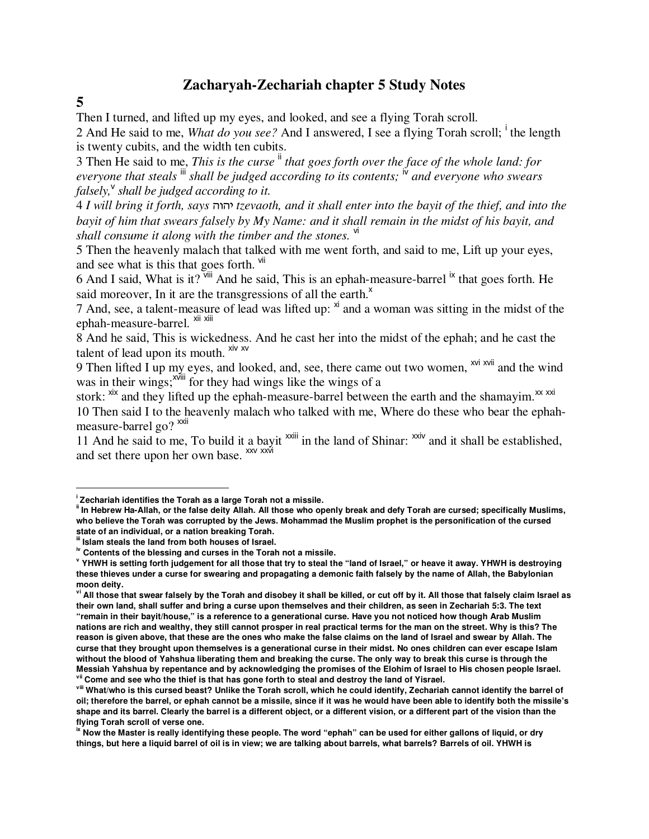## **Zacharyah-Zechariah chapter 5 Study Notes**

**5** 

 $\overline{a}$ 

Then I turned, and lifted up my eyes, and looked, and see a flying Torah scroll.

2 And He said to me, *What do you see?* And I answered, I see a flying Torah scroll; <sup>i</sup> the length is twenty cubits, and the width ten cubits.

3 Then He said to me, *This is the curse* ii *that goes forth over the face of the whole land: for everyone that steals* iii *shall be judged according to its contents;* iv *and everyone who swears falsely,*<sup>v</sup> *shall be judged according to it.* 

4 *I will bring it forth, says* vuvh *tzevaoth, and it shall enter into the bayit of the thief, and into the bayit of him that swears falsely by My Name: and it shall remain in the midst of his bayit, and shall consume it along with the timber and the stones.* vi

5 Then the heavenly malach that talked with me went forth, and said to me, Lift up your eyes, and see what is this that goes forth.  $\frac{v}{v}$ 

6 And I said, What is it?  $\frac{1}{2}$  and he said, This is an ephah-measure-barrel  $\frac{1}{2}$  that goes forth. He said moreover, In it are the transgressions of all the earth.<sup>x</sup>

7 And, see, a talent-measure of lead was lifted up:  $x^{i}$  and a woman was sitting in the midst of the ephah-measure-barrel. <sup>xii xiii</sup>

8 And he said, This is wickedness. And he cast her into the midst of the ephah; and he cast the talent of lead upon its mouth.  $xiv xv$ 

9 Then lifted I up my eyes, and looked, and, see, there came out two women, <sup>xvi xvii</sup> and the wind was in their wings;<sup>xviii</sup> for they had wings like the wings of a

stork:  $\frac{xx}{x}$  and they lifted up the ephah-measure-barrel between the earth and the shamayim. $\frac{xx}{x}$ 10 Then said I to the heavenly malach who talked with me, Where do these who bear the ephahmeasure-barrel go? <sup>xxii</sup>

11 And he said to me, To build it a bayit  $\frac{x}{x}$  in the land of Shinar:  $\frac{x}{x}$  and it shall be established, and set there upon her own base. xxv xxvi

**i Zechariah identifies the Torah as a large Torah not a missile.** 

**ii In Hebrew Ha-Allah, or the false deity Allah. All those who openly break and defy Torah are cursed; specifically Muslims, who believe the Torah was corrupted by the Jews. Mohammad the Muslim prophet is the personification of the cursed state of an individual, or a nation breaking Torah.**

**iii Islam steals the land from both houses of Israel.** 

**iv Contents of the blessing and curses in the Torah not a missile.** 

**v YHWH is setting forth judgement for all those that try to steal the "land of Israel," or heave it away. YHWH is destroying these thieves under a curse for swearing and propagating a demonic faith falsely by the name of Allah, the Babylonian moon deity.** 

**vi All those that swear falsely by the Torah and disobey it shall be killed, or cut off by it. All those that falsely claim Israel as their own land, shall suffer and bring a curse upon themselves and their children, as seen in Zechariah 5:3. The text "remain in their bayit/house," is a reference to a generational curse. Have you not noticed how though Arab Muslim nations are rich and wealthy, they still cannot prosper in real practical terms for the man on the street. Why is this? The reason is given above, that these are the ones who make the false claims on the land of Israel and swear by Allah. The curse that they brought upon themselves is a generational curse in their midst. No ones children can ever escape Islam without the blood of Yahshua liberating them and breaking the curse. The only way to break this curse is through the Messiah Yahshua by repentance and by acknowledging the promises of the Elohim of Israel to His chosen people Israel. vii Come and see who the thief is that has gone forth to steal and destroy the land of Yisrael.** 

**viii What/who is this cursed beast? Unlike the Torah scroll, which he could identify, Zechariah cannot identify the barrel of oil; therefore the barrel, or ephah cannot be a missile, since if it was he would have been able to identify both the missile's shape and its barrel. Clearly the barrel is a different object, or a different vision, or a different part of the vision than the flying Torah scroll of verse one.** 

**ix Now the Master is really identifying these people. The word "ephah" can be used for either gallons of liquid, or dry things, but here a liquid barrel of oil is in view; we are talking about barrels, what barrels? Barrels of oil. YHWH is**